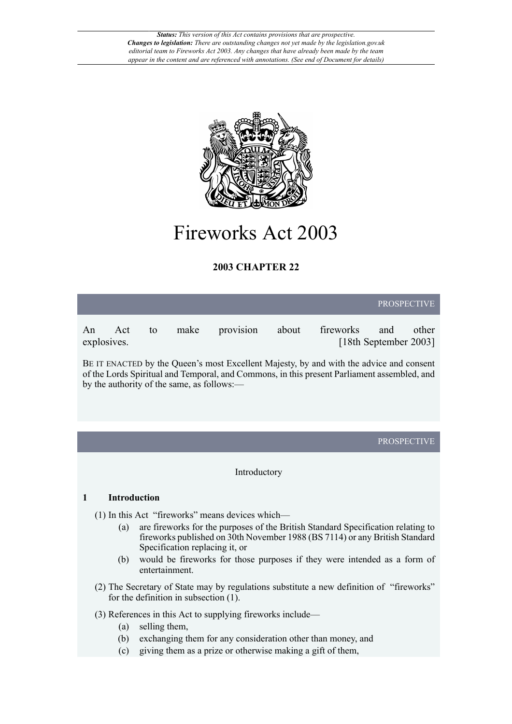

# Fireworks Act 2003

## **2003 CHAPTER 22**

|                   |     |       |                      |               |                       | <b>PROSPECTIVE</b> |
|-------------------|-----|-------|----------------------|---------------|-----------------------|--------------------|
| An<br>explosives. | Act | to to | make provision about | fireworks and | [18th September 2003] | other              |

BE IT ENACTED by the Queen's most Excellent Majesty, by and with the advice and consent of the Lords Spiritual and Temporal, and Commons, in this present Parliament assembled, and by the authority of the same, as follows:—

## PROSPECTIVE

Introductory

## **1 Introduction**

- (1) In this Act "fireworks" means devices which—
	- (a) are fireworks for the purposes of the British Standard Specification relating to fireworks published on 30th November 1988 (BS 7114) or any British Standard Specification replacing it, or
	- (b) would be fireworks for those purposes if they were intended as a form of entertainment.
- (2) The Secretary of State may by regulations substitute a new definition of "fireworks" for the definition in subsection (1).

(3) References in this Act to supplying fireworks include—

- (a) selling them,
- (b) exchanging them for any consideration other than money, and
- (c) giving them as a prize or otherwise making a gift of them,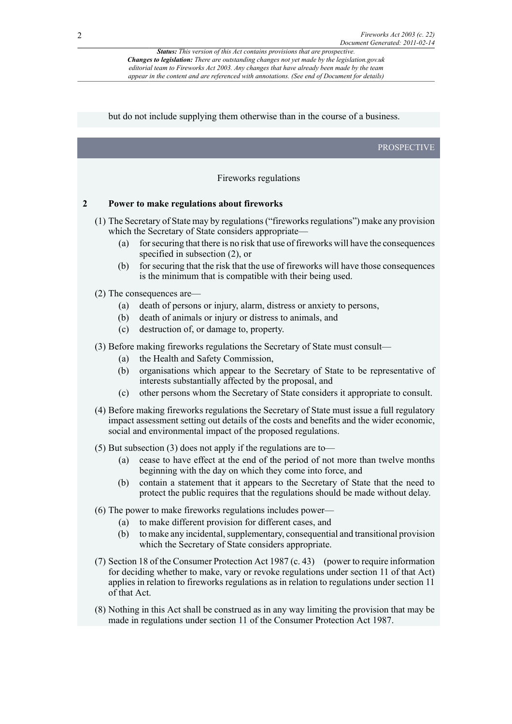but do not include supplying them otherwise than in the course of a business.

**PROSPECTIVE** 

Fireworks regulations

### **2 Power to make regulations about fireworks**

- (1) The Secretary of State may by regulations ("fireworks regulations") make any provision which the Secretary of State considers appropriate—
	- (a) for securing that there is no risk that use of fireworks will have the consequences specified in subsection (2), or
	- (b) for securing that the risk that the use of fireworks will have those consequences is the minimum that is compatible with their being used.

#### (2) The consequences are—

- (a) death of persons or injury, alarm, distress or anxiety to persons,
- (b) death of animals or injury or distress to animals, and
- (c) destruction of, or damage to, property.

### (3) Before making fireworks regulations the Secretary of State must consult—

- (a) the Health and Safety Commission,
- (b) organisations which appear to the Secretary of State to be representative of interests substantially affected by the proposal, and
- (c) other persons whom the Secretary of State considers it appropriate to consult.
- (4) Before making fireworks regulations the Secretary of State must issue a full regulatory impact assessment setting out details of the costs and benefits and the wider economic, social and environmental impact of the proposed regulations.
- (5) But subsection (3) does not apply if the regulations are to—
	- (a) cease to have effect at the end of the period of not more than twelve months beginning with the day on which they come into force, and
	- (b) contain a statement that it appears to the Secretary of State that the need to protect the public requires that the regulations should be made without delay.
- (6) The power to make fireworks regulations includes power—
	- (a) to make different provision for different cases, and
	- (b) to make any incidental, supplementary, consequential and transitional provision which the Secretary of State considers appropriate.
- (7) Section 18 of the Consumer Protection Act 1987 (c. 43) (power to require information for deciding whether to make, vary or revoke regulations under section 11 of that Act) applies in relation to fireworks regulations as in relation to regulations under section 11 of that Act.
- (8) Nothing in this Act shall be construed as in any way limiting the provision that may be made in regulations under section 11 of the Consumer Protection Act 1987.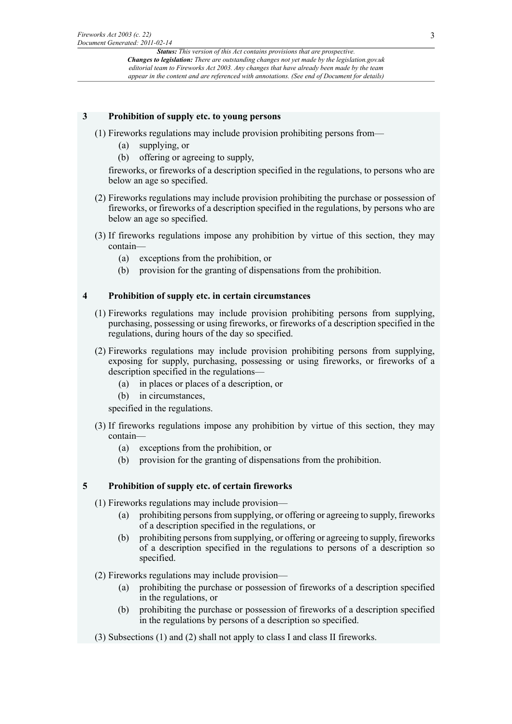### **3 Prohibition of supply etc. to young persons**

- (1) Fireworks regulations may include provision prohibiting persons from—
	- (a) supplying, or
	- (b) offering or agreeing to supply,

fireworks, or fireworks of a description specified in the regulations, to persons who are below an age so specified.

- (2) Fireworks regulations may include provision prohibiting the purchase or possession of fireworks, or fireworks of a description specified in the regulations, by persons who are below an age so specified.
- (3) If fireworks regulations impose any prohibition by virtue of this section, they may contain—
	- (a) exceptions from the prohibition, or
	- (b) provision for the granting of dispensations from the prohibition.

#### **4 Prohibition of supply etc. in certain circumstances**

- (1) Fireworks regulations may include provision prohibiting persons from supplying, purchasing, possessing or using fireworks, or fireworks of a description specified in the regulations, during hours of the day so specified.
- (2) Fireworks regulations may include provision prohibiting persons from supplying, exposing for supply, purchasing, possessing or using fireworks, or fireworks of a description specified in the regulations—
	- (a) in places or places of a description, or
	- (b) in circumstances,

specified in the regulations.

- (3) If fireworks regulations impose any prohibition by virtue of this section, they may contain—
	- (a) exceptions from the prohibition, or
	- (b) provision for the granting of dispensations from the prohibition.

#### **5 Prohibition of supply etc. of certain fireworks**

(1) Fireworks regulations may include provision—

- (a) prohibiting persons from supplying, or offering or agreeing to supply, fireworks of a description specified in the regulations, or
- (b) prohibiting persons from supplying, or offering or agreeing to supply, fireworks of a description specified in the regulations to persons of a description so specified.

(2) Fireworks regulations may include provision—

- (a) prohibiting the purchase or possession of fireworks of a description specified in the regulations, or
- (b) prohibiting the purchase or possession of fireworks of a description specified in the regulations by persons of a description so specified.
- (3) Subsections (1) and (2) shall not apply to class I and class II fireworks.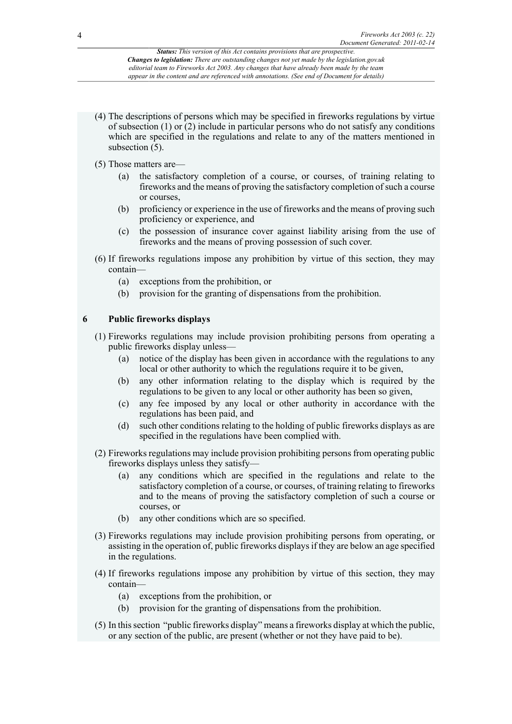(4) The descriptions of persons which may be specified in fireworks regulations by virtue of subsection (1) or  $(2)$  include in particular persons who do not satisfy any conditions which are specified in the regulations and relate to any of the matters mentioned in subsection  $(5)$ .

## (5) Those matters are—

- (a) the satisfactory completion of a course, or courses, of training relating to fireworks and the means of proving the satisfactory completion of such a course or courses,
- (b) proficiency or experience in the use of fireworks and the means of proving such proficiency or experience, and
- (c) the possession of insurance cover against liability arising from the use of fireworks and the means of proving possession of such cover.
- (6) If fireworks regulations impose any prohibition by virtue of this section, they may contain—
	- (a) exceptions from the prohibition, or
	- (b) provision for the granting of dispensations from the prohibition.

## **6 Public fireworks displays**

- (1) Fireworks regulations may include provision prohibiting persons from operating a public fireworks display unless—
	- (a) notice of the display has been given in accordance with the regulations to any local or other authority to which the regulations require it to be given,
	- (b) any other information relating to the display which is required by the regulations to be given to any local or other authority has been so given,
	- (c) any fee imposed by any local or other authority in accordance with the regulations has been paid, and
	- (d) such other conditions relating to the holding of public fireworks displays as are specified in the regulations have been complied with.
- (2) Fireworks regulations may include provision prohibiting persons from operating public fireworks displays unless they satisfy—
	- (a) any conditions which are specified in the regulations and relate to the satisfactory completion of a course, or courses, of training relating to fireworks and to the means of proving the satisfactory completion of such a course or courses, or
	- (b) any other conditions which are so specified.
- (3) Fireworks regulations may include provision prohibiting persons from operating, or assisting in the operation of, public fireworks displays if they are below an age specified in the regulations.
- (4) If fireworks regulations impose any prohibition by virtue of this section, they may contain—
	- (a) exceptions from the prohibition, or
	- (b) provision for the granting of dispensations from the prohibition.
- (5) In this section "public fireworks display" means a fireworks display at which the public, or any section of the public, are present (whether or not they have paid to be).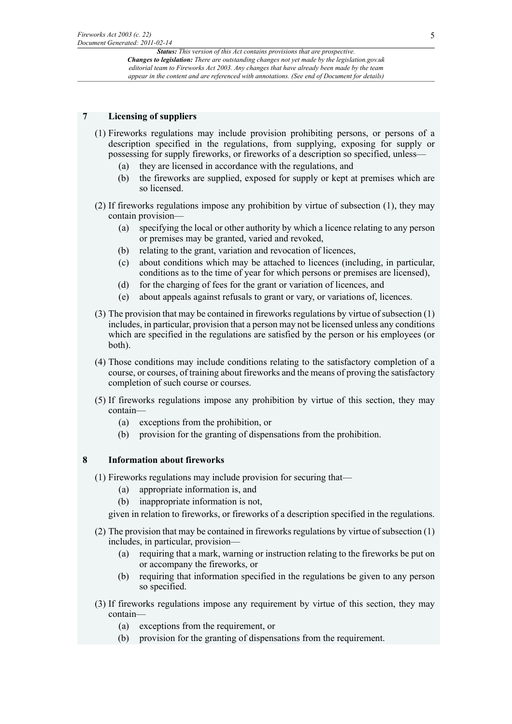## **7 Licensing of suppliers**

- (1) Fireworks regulations may include provision prohibiting persons, or persons of a description specified in the regulations, from supplying, exposing for supply or possessing for supply fireworks, or fireworks of a description so specified, unless—
	- (a) they are licensed in accordance with the regulations, and
	- (b) the fireworks are supplied, exposed for supply or kept at premises which are so licensed.
- (2) If fireworks regulations impose any prohibition by virtue of subsection (1), they may contain provision—
	- (a) specifying the local or other authority by which a licence relating to any person or premises may be granted, varied and revoked,
	- (b) relating to the grant, variation and revocation of licences,
	- (c) about conditions which may be attached to licences (including, in particular, conditions as to the time of year for which persons or premises are licensed),
	- (d) for the charging of fees for the grant or variation of licences, and
	- (e) about appeals against refusals to grant or vary, or variations of, licences.
- (3) The provision that may be contained in fireworks regulations by virtue of subsection (1) includes, in particular, provision that a person may not be licensed unless any conditions which are specified in the regulations are satisfied by the person or his employees (or both).
- (4) Those conditions may include conditions relating to the satisfactory completion of a course, or courses, of training about fireworks and the means of proving the satisfactory completion of such course or courses.
- (5) If fireworks regulations impose any prohibition by virtue of this section, they may contain—
	- (a) exceptions from the prohibition, or
	- (b) provision for the granting of dispensations from the prohibition.

#### **8 Information about fireworks**

- (1) Fireworks regulations may include provision for securing that—
	- (a) appropriate information is, and
	- (b) inappropriate information is not,

given in relation to fireworks, or fireworks of a description specified in the regulations.

- (2) The provision that may be contained in fireworks regulations by virtue of subsection (1) includes, in particular, provision—
	- (a) requiring that a mark, warning or instruction relating to the fireworks be put on or accompany the fireworks, or
	- (b) requiring that information specified in the regulations be given to any person so specified.
- (3) If fireworks regulations impose any requirement by virtue of this section, they may contain—
	- (a) exceptions from the requirement, or
	- (b) provision for the granting of dispensations from the requirement.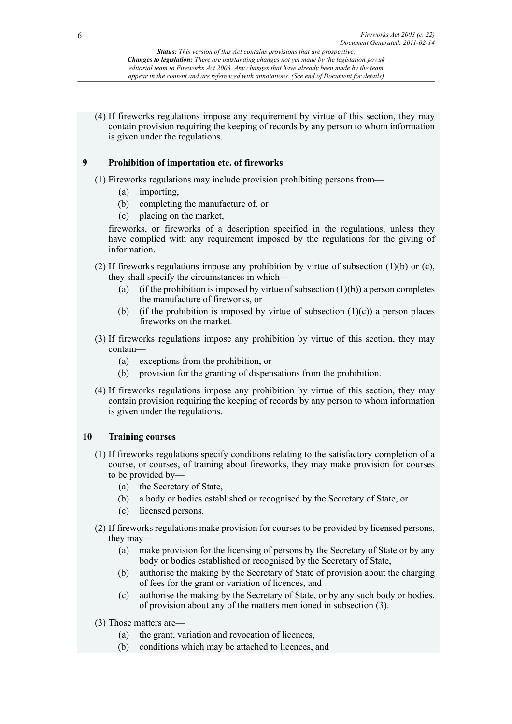(4) If fireworks regulations impose any requirement by virtue of this section, they may contain provision requiring the keeping of records by any person to whom information is given under the regulations.

## **9 Prohibition of importation etc. of fireworks**

- (1) Fireworks regulations may include provision prohibiting persons from—
	- (a) importing,
	- (b) completing the manufacture of, or
	- (c) placing on the market,

fireworks, or fireworks of a description specified in the regulations, unless they have complied with any requirement imposed by the regulations for the giving of information.

- (2) If fireworks regulations impose any prohibition by virtue of subsection  $(1)(b)$  or  $(c)$ , they shall specify the circumstances in which—
	- (a) (if the prohibition is imposed by virtue of subsection  $(1)(b)$ ) a person completes the manufacture of fireworks, or
	- (b) (if the prohibition is imposed by virtue of subsection  $(1)(c)$ ) a person places fireworks on the market.
- (3) If fireworks regulations impose any prohibition by virtue of this section, they may contain—
	- (a) exceptions from the prohibition, or
	- (b) provision for the granting of dispensations from the prohibition.
- (4) If fireworks regulations impose any prohibition by virtue of this section, they may contain provision requiring the keeping of records by any person to whom information is given under the regulations.

## **10 Training courses**

- (1) If fireworks regulations specify conditions relating to the satisfactory completion of a course, or courses, of training about fireworks, they may make provision for courses to be provided by—
	- (a) the Secretary of State,
	- (b) a body or bodies established or recognised by the Secretary of State, or
	- (c) licensed persons.
- (2) If fireworks regulations make provision for courses to be provided by licensed persons, they may—
	- (a) make provision for the licensing of persons by the Secretary of State or by any body or bodies established or recognised by the Secretary of State,
	- (b) authorise the making by the Secretary of State of provision about the charging of fees for the grant or variation of licences, and
	- (c) authorise the making by the Secretary of State, or by any such body or bodies, of provision about any of the matters mentioned in subsection (3).
- (3) Those matters are—
	- (a) the grant, variation and revocation of licences,
	- (b) conditions which may be attached to licences, and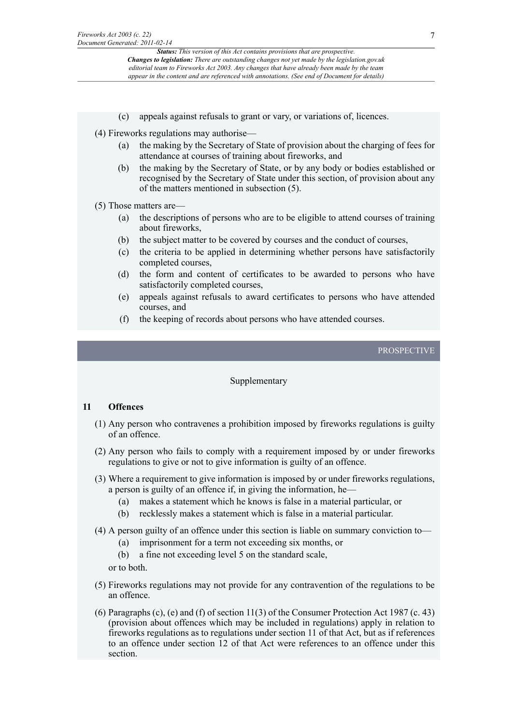(c) appeals against refusals to grant or vary, or variations of, licences.

(4) Fireworks regulations may authorise—

- (a) the making by the Secretary of State of provision about the charging of fees for attendance at courses of training about fireworks, and
- (b) the making by the Secretary of State, or by any body or bodies established or recognised by the Secretary of State under this section, of provision about any of the matters mentioned in subsection (5).

(5) Those matters are—

- (a) the descriptions of persons who are to be eligible to attend courses of training about fireworks,
- (b) the subject matter to be covered by courses and the conduct of courses,
- (c) the criteria to be applied in determining whether persons have satisfactorily completed courses,
- (d) the form and content of certificates to be awarded to persons who have satisfactorily completed courses,
- (e) appeals against refusals to award certificates to persons who have attended courses, and
- (f) the keeping of records about persons who have attended courses.

## PROSPECTIVE

### Supplementary

## **11 Offences**

- (1) Any person who contravenes a prohibition imposed by fireworks regulations is guilty of an offence.
- (2) Any person who fails to comply with a requirement imposed by or under fireworks regulations to give or not to give information is guilty of an offence.
- (3) Where a requirement to give information is imposed by or under fireworks regulations, a person is guilty of an offence if, in giving the information, he—
	- (a) makes a statement which he knows is false in a material particular, or
	- (b) recklessly makes a statement which is false in a material particular.
- (4) A person guilty of an offence under this section is liable on summary conviction to—
	- (a) imprisonment for a term not exceeding six months, or
	- (b) a fine not exceeding level 5 on the standard scale,

or to both.

- (5) Fireworks regulations may not provide for any contravention of the regulations to be an offence.
- (6) Paragraphs (c), (e) and (f) of section 11(3) of the Consumer Protection Act 1987 (c. 43) (provision about offences which may be included in regulations) apply in relation to fireworks regulations as to regulations under section 11 of that Act, but as if references to an offence under section 12 of that Act were references to an offence under this section.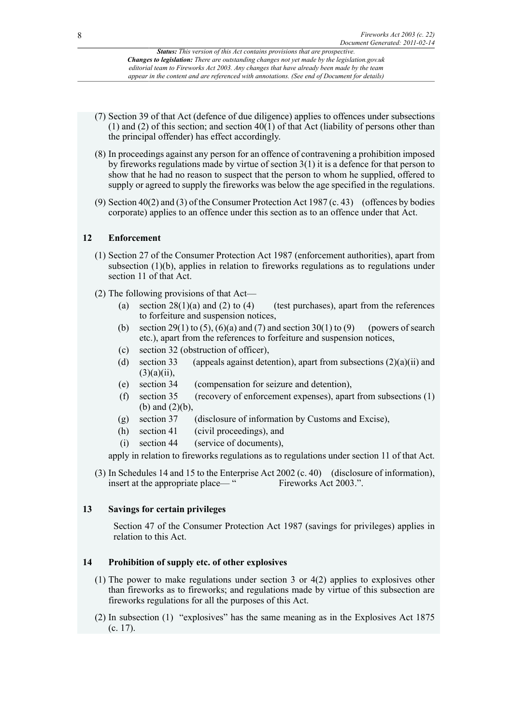- (7) Section 39 of that Act (defence of due diligence) applies to offences under subsections (1) and (2) of this section; and section  $40(1)$  of that Act (liability of persons other than the principal offender) has effect accordingly.
- (8) In proceedings against any person for an offence of contravening a prohibition imposed by fireworks regulations made by virtue of section 3(1) it is a defence for that person to show that he had no reason to suspect that the person to whom he supplied, offered to supply or agreed to supply the fireworks was below the age specified in the regulations.
- (9) Section 40(2) and (3) of the Consumer Protection Act 1987 (c. 43) (offences by bodies corporate) applies to an offence under this section as to an offence under that Act.

## **12 Enforcement**

- (1) Section 27 of the Consumer Protection Act 1987 (enforcement authorities), apart from subsection (1)(b), applies in relation to fireworks regulations as to regulations under section 11 of that Act.
- (2) The following provisions of that Act—
	- (a) section  $28(1)(a)$  and (2) to (4) (test purchases), apart from the references to forfeiture and suspension notices,
	- (b) section 29(1) to (5), (6)(a) and (7) and section 30(1) to (9) (powers of search etc.), apart from the references to forfeiture and suspension notices,
	- (c) section 32 (obstruction of officer),
	- (d) section 33 (appeals against detention), apart from subsections  $(2)(a)(ii)$  and  $(3)(a)(ii)$ ,
	- (e) section 34 (compensation for seizure and detention),
	- (f) section 35 (recovery of enforcement expenses), apart from subsections (1) (b) and (2)(b),
	- (g) section 37 (disclosure of information by Customs and Excise),
	- (h) section 41 (civil proceedings), and
	- (i) section 44 (service of documents),

apply in relation to fireworks regulations as to regulations under section 11 of that Act.

(3) In Schedules 14 and 15 to the Enterprise Act 2002 (c. 40) (disclosure of information), insert at the appropriate place— " Fireworks Act 2003.".

## **13 Savings for certain privileges**

Section 47 of the Consumer Protection Act 1987 (savings for privileges) applies in relation to this Act.

## **14 Prohibition of supply etc. of other explosives**

- (1) The power to make regulations under section 3 or 4(2) applies to explosives other than fireworks as to fireworks; and regulations made by virtue of this subsection are fireworks regulations for all the purposes of this Act.
- (2) In subsection (1) "explosives" has the same meaning as in the Explosives Act 1875 (c. 17).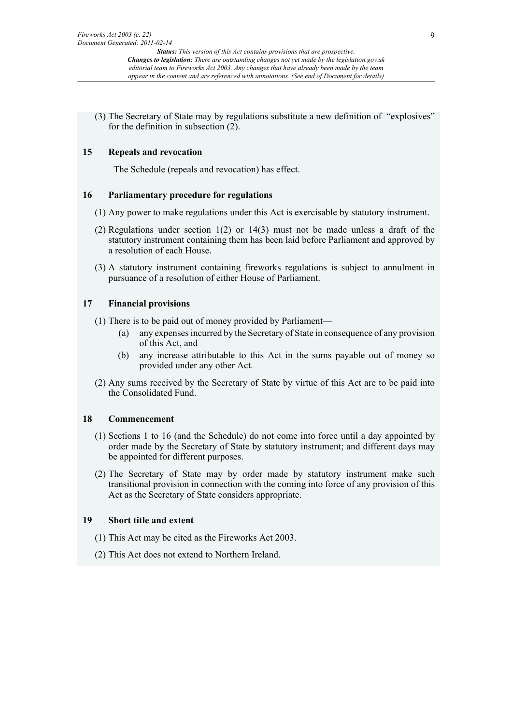(3) The Secretary of State may by regulations substitute a new definition of "explosives" for the definition in subsection (2).

## **15 Repeals and revocation**

The Schedule (repeals and revocation) has effect.

### **16 Parliamentary procedure for regulations**

- (1) Any power to make regulations under this Act is exercisable by statutory instrument.
- (2) Regulations under section 1(2) or 14(3) must not be made unless a draft of the statutory instrument containing them has been laid before Parliament and approved by a resolution of each House.
- (3) A statutory instrument containing fireworks regulations is subject to annulment in pursuance of a resolution of either House of Parliament.

### **17 Financial provisions**

- (1) There is to be paid out of money provided by Parliament—
	- (a) any expenses incurred by the Secretary of State in consequence of any provision of this Act, and
	- (b) any increase attributable to this Act in the sums payable out of money so provided under any other Act.
- (2) Any sums received by the Secretary of State by virtue of this Act are to be paid into the Consolidated Fund.

### **18 Commencement**

- (1) Sections 1 to 16 (and the Schedule) do not come into force until a day appointed by order made by the Secretary of State by statutory instrument; and different days may be appointed for different purposes.
- (2) The Secretary of State may by order made by statutory instrument make such transitional provision in connection with the coming into force of any provision of this Act as the Secretary of State considers appropriate.

#### **19 Short title and extent**

- (1) This Act may be cited as the Fireworks Act 2003.
- (2) This Act does not extend to Northern Ireland.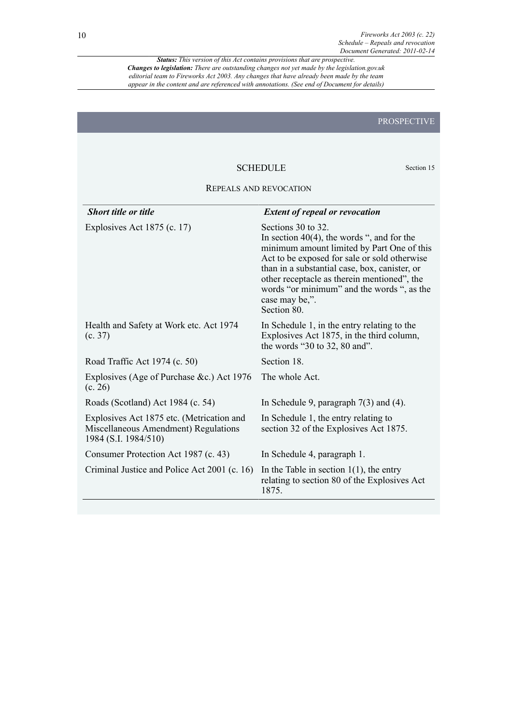10 *Fireworks Act 2003 (c. 22) Schedule – Repeals and revocation Document Generated: 2011-02-14*

*Status: This version of this Act contains provisions that are prospective. Changes to legislation: There are outstanding changes not yet made by the legislation.gov.uk editorial team to Fireworks Act 2003. Any changes that have already been made by the team appear in the content and are referenced with annotations. (See end of Document for details)*

## PROSPECTIVE

## SCHEDULE Section 15

#### REPEALS AND REVOCATION

| <b>Short title or title</b>                                                                               | <b>Extent of repeal or revocation</b>                                                                                                                                                                                                                                                                                                         |
|-----------------------------------------------------------------------------------------------------------|-----------------------------------------------------------------------------------------------------------------------------------------------------------------------------------------------------------------------------------------------------------------------------------------------------------------------------------------------|
| Explosives Act 1875 (c. 17)                                                                               | Sections 30 to 32.<br>In section 40(4), the words ", and for the<br>minimum amount limited by Part One of this<br>Act to be exposed for sale or sold otherwise<br>than in a substantial case, box, canister, or<br>other receptacle as therein mentioned", the<br>words "or minimum" and the words ", as the<br>case may be,".<br>Section 80. |
| Health and Safety at Work etc. Act 1974<br>(c. 37)                                                        | In Schedule 1, in the entry relating to the<br>Explosives Act 1875, in the third column,<br>the words "30 to 32, 80 and".                                                                                                                                                                                                                     |
| Road Traffic Act 1974 (c. 50)                                                                             | Section 18.                                                                                                                                                                                                                                                                                                                                   |
| Explosives (Age of Purchase &c.) Act 1976<br>(c. 26)                                                      | The whole Act.                                                                                                                                                                                                                                                                                                                                |
| Roads (Scotland) Act 1984 (c. 54)                                                                         | In Schedule 9, paragraph $7(3)$ and (4).                                                                                                                                                                                                                                                                                                      |
| Explosives Act 1875 etc. (Metrication and<br>Miscellaneous Amendment) Regulations<br>1984 (S.I. 1984/510) | In Schedule 1, the entry relating to<br>section 32 of the Explosives Act 1875.                                                                                                                                                                                                                                                                |
| Consumer Protection Act 1987 (c. 43)                                                                      | In Schedule 4, paragraph 1.                                                                                                                                                                                                                                                                                                                   |
| Criminal Justice and Police Act 2001 (c. 16)                                                              | In the Table in section $1(1)$ , the entry<br>relating to section 80 of the Explosives Act<br>1875.                                                                                                                                                                                                                                           |